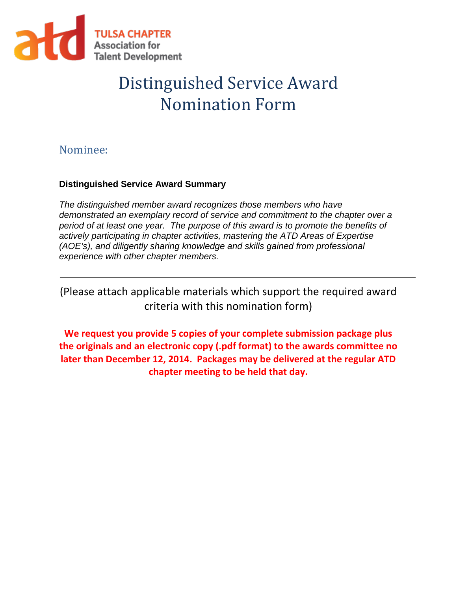

# Distinguished Service Award Nomination Form

## Nominee:

### **Distinguished Service Award Summary**

*The distinguished member award recognizes those members who have demonstrated an exemplary record of service and commitment to the chapter over a period of at least one year. The purpose of this award is to promote the benefits of actively participating in chapter activities, mastering the ATD Areas of Expertise (AOE's), and diligently sharing knowledge and skills gained from professional experience with other chapter members.*

(Please attach applicable materials which support the required award criteria with this nomination form)

**We request you provide 5 copies of your complete submission package plus the originals and an electronic copy (.pdf format) to the awards committee no later than December 12, 2014. Packages may be delivered at the regular ATD chapter meeting to be held that day.**